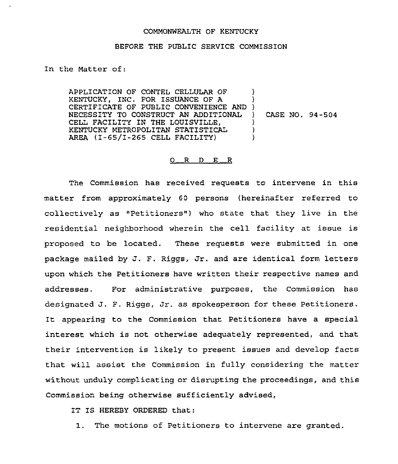## COMMONWEALTH OF KENTUCKY

## BEFORE THE PUBLIC SERVICE COMMISSION

## In the Matter of:

APPLICATION OF CONTEL CELLULAR OF KENTUCKY, INC. FOR ISSUANCE OF A KENTUCKY, INC. FOR ISSUANCE OF A () NECESSITY TO CONSTRUCT AN ADDITIONAL CELL FACILITY IN THE LOUISVILLE, KENTUCKY METROPOLITAN STATISTICAL AREA (I-65/I-265 CELL FACILITY)  $\lambda$ ) ) CASE NO. 94-504 ) )  $\lambda$ 

## $O_R$  D  $E_R$

The Commission has received requests to intervene in this matter from approximately 60 persons (hereinafter referred to collectively as "Petitioners") who state that they live in the residential neighborhood wherein the cell facility at issue is proposed to be located. These requests were submitted in one package mailed by J. F. Riggs, Jr. and are identical form letters upon which the Petitioners have written their respective names and addresses. For administrative purposes, the Commission has designated J. F. Riggs, Jr. as spokesperson for these Petitioners. It appearing to the Commission that Petitioners have <sup>a</sup> special interest which is not otherwise adequately represented, and that their intervention is likely to present issues and develop facts that will assist the Commission in fully considering the matter without unduly complicating or disrupting the proceedings, and this Commission being otherwise sufficiently advised,

IT IS HEREBY ORDERED that:

I. The motions of Petitioners to intervene are granted.